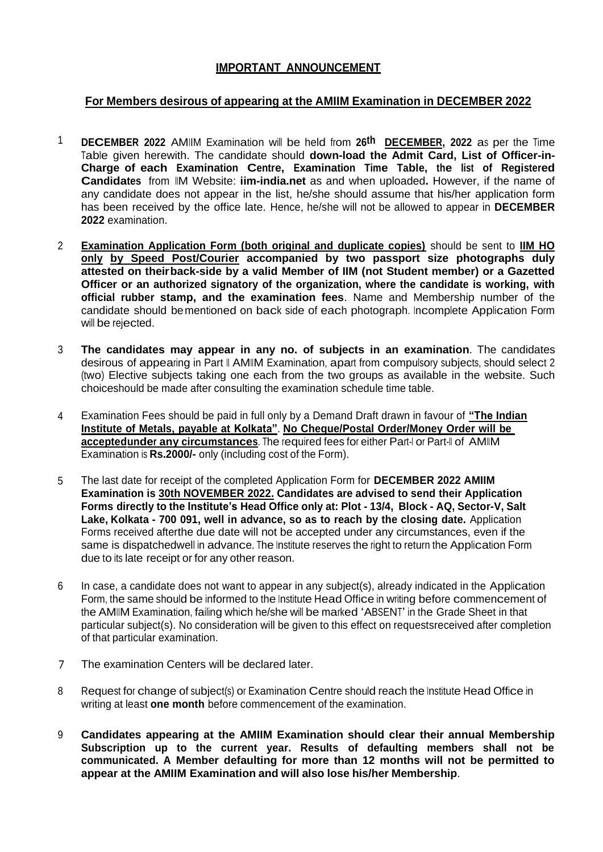## **IMPORTANT ANNOUNCEMENT**

## **For Members desirous of appearing at the AMIIM Examination in DECEMBER 2022**

- 1 **DECEMBER 2022** AMIIM Examination will be held from **26th DECEMBER, 2022** as per the Time Table given herewith. The candidate should **down-load the Admit Card, List of Officer-in-Charge of each Examination Centre, Examination Time Table, the list of Registered Candidates** from IIM Website: **iim-india.net** as and when uploaded**.** However, if the name of any candidate does not appear in the list, he/she should assume that his/her application form has been received by the office late. Hence, he/she will not be allowed to appear in **DECEMBER 2022** examination.
- 2 **Examination Application Form (both original and duplicate copies)** should be sent to **IIM HO only by Speed Post/Courier accompanied by two passport size photographs duly attested on theirback-side by a valid Member of IIM (not Student member) or a Gazetted Officer or an authorized signatory of the organization, where the candidate is working, with official rubber stamp, and the examination fees**. Name and Membership number of the candidate should bementioned on back side of each photograph. Incomplete Application Form will be rejected.
- 3 **The candidates may appear in any no. of subjects in an examination**. The candidates desirous of appearing in Part II AMIIM Examination, apart from compulsory subjects, should select 2 (two) Elective subjects taking one each from the two groups as available in the website. Such choiceshould be made after consulting the examination schedule time table.
- 4 Examination Fees should be paid in full only by a Demand Draft drawn in favour of **"The Indian Institute of Metals, payable at Kolkata"**. **No Cheque/Postal Order/Money Order will be acceptedunder any circumstances**. The required fees for either Part-I or Part-II of AMIIM Examination is **Rs.2000/-** only (including cost of the Form).
- 5 The last date for receipt of the completed Application Form for **DECEMBER 2022 AMIIM Examination is 30th NOVEMBER 2022. Candidates are advised to send their Application Forms directly to the Institute's Head Office only at: Plot - 13/4, Block - AQ, Sector-V, Salt Lake, Kolkata - 700 091, well in advance, so as to reach by the closing date.** Application Forms received afterthe due date will not be accepted under any circumstances, even if the same is dispatchedwell in advance. The Institute reserves the right to return the Application Form due to its late receipt or for any other reason.
- 6 In case, a candidate does not want to appear in any subject(s), already indicated in the Application Form, the same should be informed to the Institute Head Office in writing before commencement of the AMIIM Examination, failing which he/she will be marked 'ABSENT' in the Grade Sheet in that particular subject(s). No consideration will be given to this effect on requestsreceived after completion of that particular examination.
- 7 The examination Centers will be declared later.
- 8 Request for change of subject(s) or Examination Centre should reach the Institute Head Office in writing at least **one month** before commencement of the examination.
- 9 **Candidates appearing at the AMIIM Examination should clear their annual Membership Subscription up to the current year. Results of defaulting members shall not be communicated. A Member defaulting for more than 12 months will not be permitted to appear at the AMIIM Examination and will also lose his/her Membership**.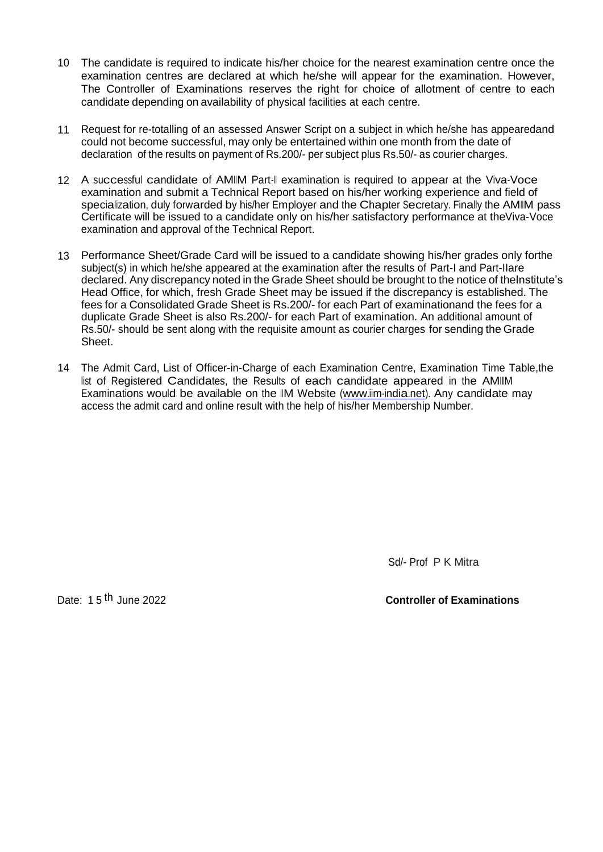- 10 The candidate is required to indicate his/her choice for the nearest examination centre once the examination centres are declared at which he/she will appear for the examination. However, The Controller of Examinations reserves the right for choice of allotment of centre to each candidate depending on availability of physical facilities at each centre.
- 11 Request for re-totalling of an assessed Answer Script on a subject in which he/she has appearedand could not become successful, may only be entertained within one month from the date of declaration of the results on payment of Rs.200/- per subject plus Rs.50/- as courier charges.
- 12 A successful candidate of AMIIM Part-II examination is required to appear at the Viva-Voce examination and submit a Technical Report based on his/her working experience and field of specialization, duly forwarded by his/her Employer and the Chapter Secretary. Finally the AMIIM pass Certificate will be issued to a candidate only on his/her satisfactory performance at theViva-Voce examination and approval of the Technical Report.
- 13 Performance Sheet/Grade Card will be issued to a candidate showing his/her grades only forthe subject(s) in which he/she appeared at the examination after the results of Part-I and Part-IIare declared. Any discrepancy noted in the Grade Sheet should be brought to the notice of theInstitute's Head Office, for which, fresh Grade Sheet may be issued if the discrepancy is established. The fees for a Consolidated Grade Sheet is Rs.200/- for each Part of examinationand the fees for a duplicate Grade Sheet is also Rs.200/- for each Part of examination. An additional amount of Rs.50/- should be sent along with the requisite amount as courier charges for sending the Grade Sheet.
- 14 The Admit Card, List of Officer-in-Charge of each Examination Centre, Examination Time Table,the list of Registered Candidates, the Results of each candidate appeared in the AMIIM Examinations would be available on the IIM Website [\(www.iim-india.net\)](http://www.iim-india.net/). Any candidate may access the admit card and online result with the help of his/her Membership Number.

Sd/- Prof P K Mitra

Date: 1 5 th June 2022 **Controller of Examinations**